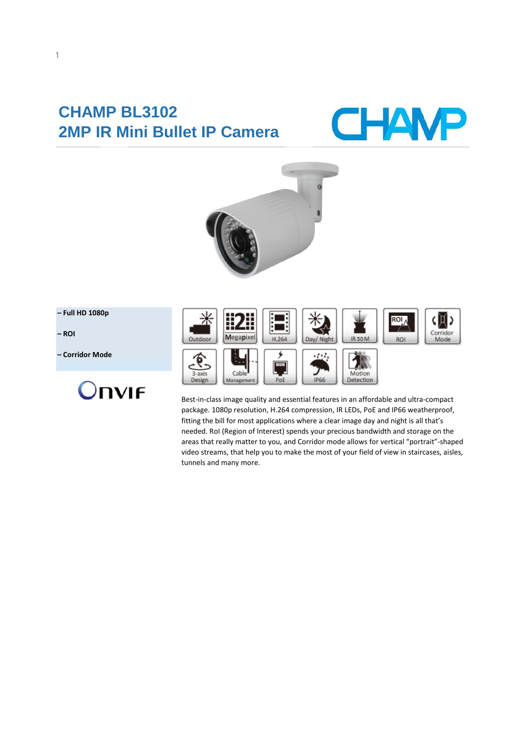# **CHAMP BL3102 2MP IR Mini Bullet IP Camera**





#### **– Full HD 1080p**

**– ROI**

**– Corridor Mode**





Best-in-class image quality and essential features in an affordable and ultra-compact package. 1080p resolution, H.264 compression, IR LEDs, PoE and IP66 weatherproof, fitting the bill for most applications where a clear image day and night is all that's needed. RoI (Region of Interest) spends your precious bandwidth and storage on the areas that really matter to you, and Corridor mode allows for vertical "portrait"-shaped video streams, that help you to make the most of your field of view in staircases, aisles, tunnels and many more.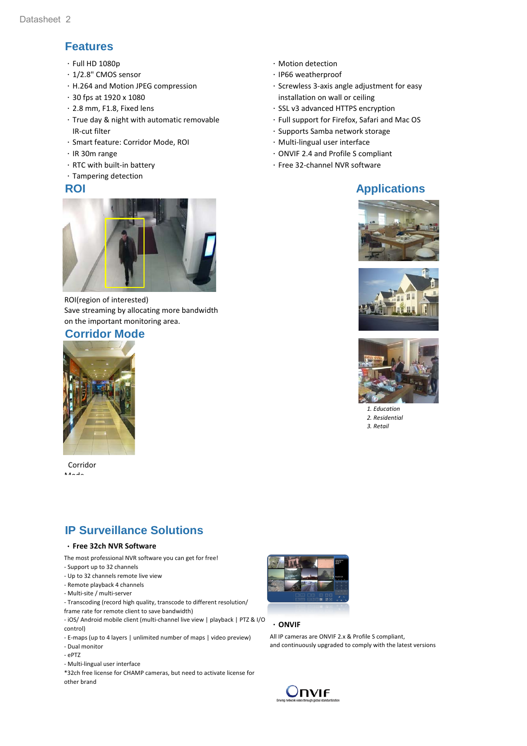## **Features**

- $\cdot$  Full HD 1080p
- .1/2.8" CMOS sensor
- .H.264 and Motion JPEG compression
- .30 fps at 1920 x 1080
- .2.8 mm, F1.8, Fixed lens
- .True day & night with automatic removable .IR-cut filter
- .Smart feature: Corridor Mode, ROI
- .IR 30m range
- $\cdot$  RTC with built-in battery
- .Tampering detection



ROI(region of interested) Save streaming by allocating more bandwidth on the important monitoring area.

#### **Corridor Mode**



 Corridor Mode

## **IP Surveillance Solutions**

#### .**Free 32ch NVR Software**

- The most professional NVR software you can get for free!
- Support up to 32 channels
- Up to 32 channels remote live view
- Remote playback 4 channels
- Multi-site / multi-server
- Transcoding (record high quality, transcode to different resolution/
- frame rate for remote client to save bandwidth)
- iOS/ Android mobile client (multi-channel live view | playback | PTZ & I/O control)
- E-maps (up to 4 layers | unlimited number of maps | video preview)
- Dual monitor
- ePTZ
- Multi-lingual user interface
- \*32ch free license for CHAMP cameras, but need to activate license for other brand
- .Motion detection
- .IP66 weatherproof
- $\cdot$  Screwless 3-axis angle adjustment for easy .installation on wall or ceiling
- .SSL v3 advanced HTTPS encryption
- .Full support for Firefox, Safari and Mac OS
- · Supports Samba network storage
- $\cdot$  Multi-lingual user interface
- .ONVIF 2.4 and Profile S compliant
- .Free 32-channel NVR software

## **ROI Applications**







 *1. Education 2. Residential 3. Retail*



#### .**ONVIF**

All IP cameras are ONVIF 2.x & Profile S compliant, and continuously upgraded to comply with the latest versions